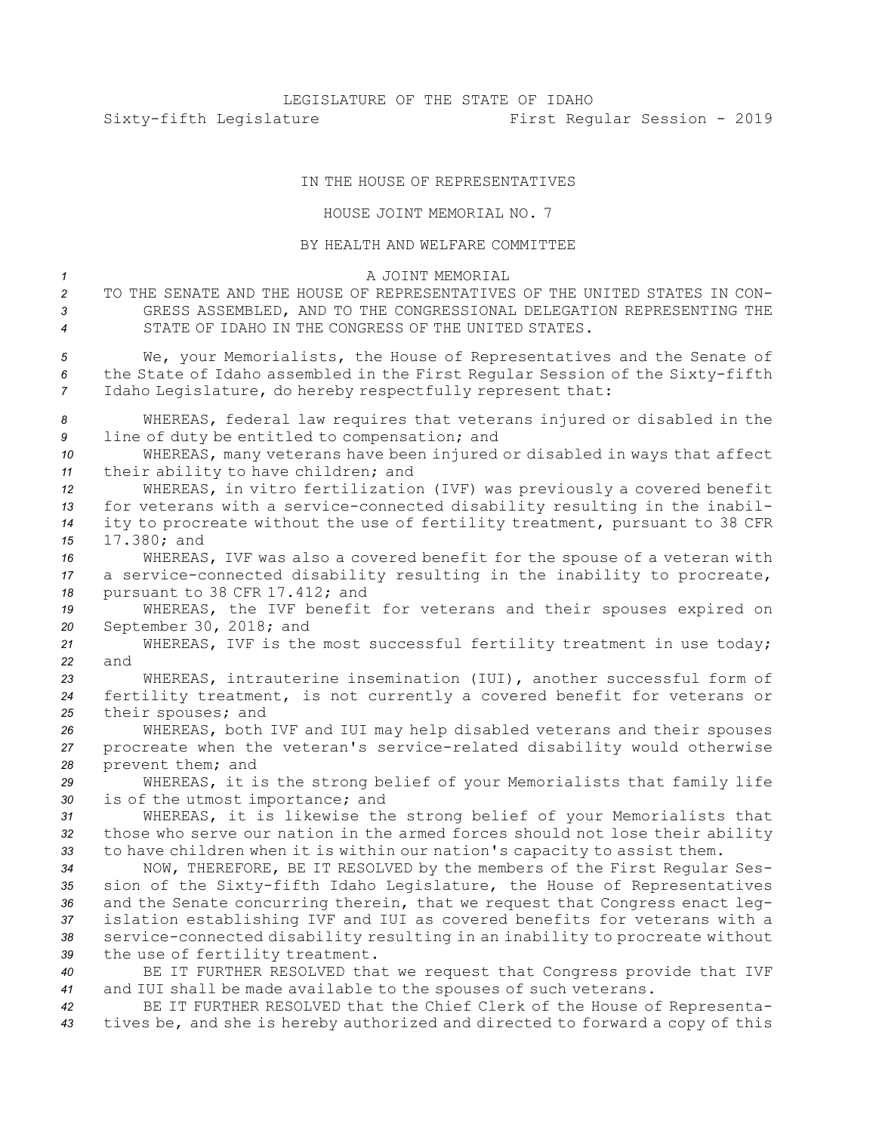## IN THE HOUSE OF REPRESENTATIVES

## HOUSE JOINT MEMORIAL NO. 7

BY HEALTH AND WELFARE COMMITTEE A JOINT MEMORIAL TO THE SENATE AND THE HOUSE OF REPRESENTATIVES OF THE UNITED STATES IN CON- GRESS ASSEMBLED, AND TO THE CONGRESSIONAL DELEGATION REPRESENTING THE STATE OF IDAHO IN THE CONGRESS OF THE UNITED STATES. We, your Memorialists, the House of Representatives and the Senate of the State of Idaho assembled in the First Regular Session of the Sixty-fifth Idaho Legislature, do hereby respectfully represent that: WHEREAS, federal law requires that veterans injured or disabled in the line of duty be entitled to compensation; and WHEREAS, many veterans have been injured or disabled in ways that affect their ability to have children; and WHEREAS, in vitro fertilization (IVF) was previously <sup>a</sup> covered benefit for veterans with <sup>a</sup> service-connected disability resulting in the inabil- ity to procreate without the use of fertility treatment, pursuant to 38 CFR 17.380; and WHEREAS, IVF was also <sup>a</sup> covered benefit for the spouse of <sup>a</sup> veteran with <sup>a</sup> service-connected disability resulting in the inability to procreate, pursuant to 38 CFR 17.412; and WHEREAS, the IVF benefit for veterans and their spouses expired on September 30, 2018; and WHEREAS, IVF is the most successful fertility treatment in use today; *22* and WHEREAS, intrauterine insemination (IUI), another successful form of fertility treatment, is not currently <sup>a</sup> covered benefit for veterans or their spouses; and WHEREAS, both IVF and IUI may help disabled veterans and their spouses procreate when the veteran's service-related disability would otherwise prevent them; and WHEREAS, it is the strong belief of your Memorialists that family life is of the utmost importance; and WHEREAS, it is likewise the strong belief of your Memorialists that those who serve our nation in the armed forces should not lose their ability to have children when it is within our nation's capacity to assist them. NOW, THEREFORE, BE IT RESOLVED by the members of the First Regular Ses- sion of the Sixty-fifth Idaho Legislature, the House of Representatives and the Senate concurring therein, that we request that Congress enact leg- islation establishing IVF and IUI as covered benefits for veterans with <sup>a</sup> service-connected disability resulting in an inability to procreate without the use of fertility treatment. BE IT FURTHER RESOLVED that we request that Congress provide that IVF and IUI shall be made available to the spouses of such veterans. BE IT FURTHER RESOLVED that the Chief Clerk of the House of Representa-

*<sup>43</sup>* tives be, and she is hereby authorized and directed to forward <sup>a</sup> copy of this